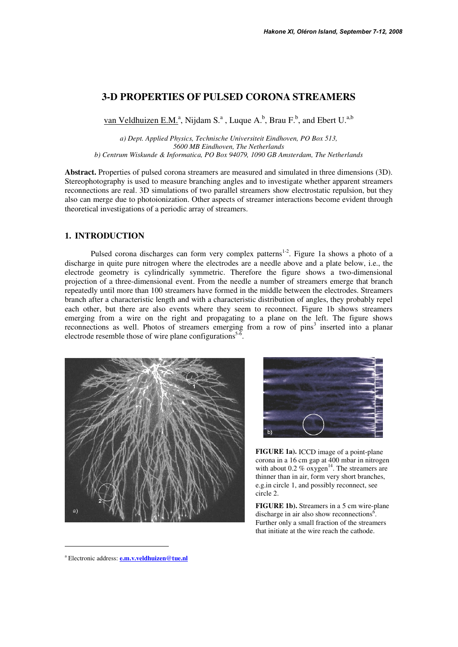# **3-D PROPERTIES OF PULSED CORONA STREAMERS**

van Veldhuizen E.M.<sup>a</sup>, Nijdam S.<sup>a</sup>, Luque A.<sup>b</sup>, Brau F.<sup>b</sup>, and Ebert U.<sup>a,b</sup>

*a) Dept. Applied Physics, Technische Universiteit Eindhoven, PO Box 513, 5600 MB Eindhoven, The Netherlands b) Centrum Wiskunde & Informatica, PO Box 94079, 1090 GB Amsterdam, The Netherlands* 

**Abstract.** Properties of pulsed corona streamers are measured and simulated in three dimensions (3D). Stereophotography is used to measure branching angles and to investigate whether apparent streamers reconnections are real. 3D simulations of two parallel streamers show electrostatic repulsion, but they also can merge due to photoionization. Other aspects of streamer interactions become evident through theoretical investigations of a periodic array of streamers.

## **1. INTRODUCTION**

Pulsed corona discharges can form very complex patterns<sup>1-2</sup>. Figure 1a shows a photo of a discharge in quite pure nitrogen where the electrodes are a needle above and a plate below, i.e., the electrode geometry is cylindrically symmetric. Therefore the figure shows a two-dimensional projection of a three-dimensional event. From the needle a number of streamers emerge that branch repeatedly until more than 100 streamers have formed in the middle between the electrodes. Streamers branch after a characteristic length and with a characteristic distribution of angles, they probably repel each other, but there are also events where they seem to reconnect. Figure 1b shows streamers emerging from a wire on the right and propagating to a plane on the left. The figure shows reconnections as well. Photos of streamers emerging from a row of pins<sup>3</sup> inserted into a planar electrode resemble those of wire plane configurations<sup>5-6</sup>.





**FIGURE 1a).** ICCD image of a point-plane corona in a 16 cm gap at 400 mbar in nitrogen with about  $0.2 \%$  oxygen<sup>14</sup>. The streamers are thinner than in air, form very short branches, e.g.in circle 1, and possibly reconnect, see circle 2.

**FIGURE 1b).** Streamers in a 5 cm wire-plane discharge in air also show reconnections<sup>6</sup>. Further only a small fraction of the streamers that initiate at the wire reach the cathode.

-

<sup>&</sup>lt;sup>a</sup> Electronic address: **e.m.v.veldhuizen@tue.nl**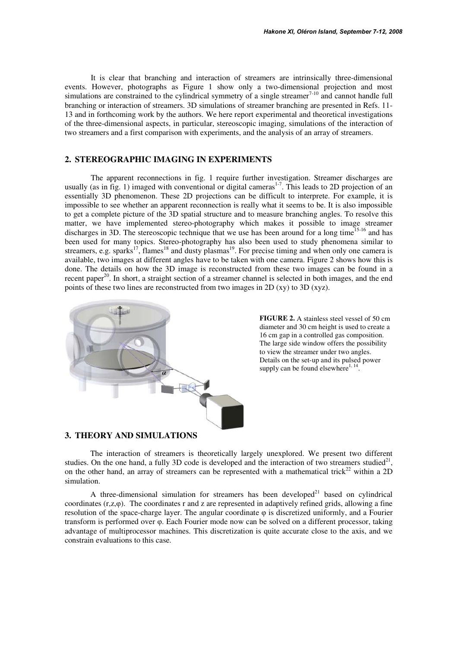It is clear that branching and interaction of streamers are intrinsically three-dimensional events. However, photographs as Figure 1 show only a two-dimensional projection and most simulations are constrained to the cylindrical symmetry of a single streamer $7-10$  and cannot handle full branching or interaction of streamers. 3D simulations of streamer branching are presented in Refs. 11- 13 and in forthcoming work by the authors. We here report experimental and theoretical investigations of the three-dimensional aspects, in particular, stereoscopic imaging, simulations of the interaction of two streamers and a first comparison with experiments, and the analysis of an array of streamers.

## **2. STEREOGRAPHIC IMAGING IN EXPERIMENTS**

 The apparent reconnections in fig. 1 require further investigation. Streamer discharges are usually (as in fig. 1) imaged with conventional or digital cameras<sup>1-7</sup>. This leads to 2D projection of an essentially 3D phenomenon. These 2D projections can be difficult to interprete. For example, it is impossible to see whether an apparent reconnection is really what it seems to be. It is also impossible to get a complete picture of the 3D spatial structure and to measure branching angles. To resolve this matter, we have implemented stereo-photography which makes it possible to image streamer discharges in 3D. The stereoscopic technique that we use has been around for a long time<sup>15-16</sup> and has been used for many topics. Stereo-photography has also been used to study phenomena similar to streamers, e.g. sparks<sup>17</sup>, flames<sup>18</sup> and dusty plasmas<sup>19</sup>. For precise timing and when only one camera is available, two images at different angles have to be taken with one camera. Figure 2 shows how this is done. The details on how the 3D image is reconstructed from these two images can be found in a recent paper<sup>20</sup>. In short, a straight section of a streamer channel is selected in both images, and the end points of these two lines are reconstructed from two images in 2D (xy) to 3D (xyz).



**FIGURE 2.** A stainless steel vessel of 50 cm diameter and 30 cm height is used to create a 16 cm gap in a controlled gas composition. The large side window offers the possibility to view the streamer under two angles. Details on the set-up and its pulsed power supply can be found elsewhere<sup>1, 14</sup>.

### **3. THEORY AND SIMULATIONS**

The interaction of streamers is theoretically largely unexplored. We present two different studies. On the one hand, a fully 3D code is developed and the interaction of two streamers studied<sup>21</sup>, on the other hand, an array of streamers can be represented with a mathematical trick<sup>22</sup> within a 2D simulation.

A three-dimensional simulation for streamers has been developed<sup>21</sup> based on cylindrical coordinates (r,z,φ). The coordinates r and z are represented in adaptively refined grids, allowing a fine resolution of the space-charge layer. The angular coordinate φ is discretized uniformly, and a Fourier transform is performed over φ. Each Fourier mode now can be solved on a different processor, taking advantage of multiprocessor machines. This discretization is quite accurate close to the axis, and we constrain evaluations to this case.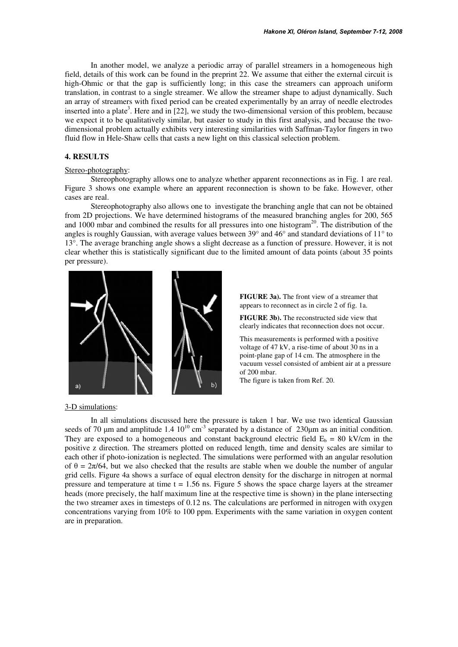In another model, we analyze a periodic array of parallel streamers in a homogeneous high field, details of this work can be found in the preprint 22. We assume that either the external circuit is high-Ohmic or that the gap is sufficiently long; in this case the streamers can approach uniform translation, in contrast to a single streamer. We allow the streamer shape to adjust dynamically. Such an array of streamers with fixed period can be created experimentally by an array of needle electrodes inserted into a plate<sup>3</sup>. Here and in [22], we study the two-dimensional version of this problem, because we expect it to be qualitatively similar, but easier to study in this first analysis, and because the twodimensional problem actually exhibits very interesting similarities with Saffman-Taylor fingers in two fluid flow in Hele-Shaw cells that casts a new light on this classical selection problem.

### **4. RESULTS**

#### Stereo-photography:

 Stereophotography allows one to analyze whether apparent reconnections as in Fig. 1 are real. Figure 3 shows one example where an apparent reconnection is shown to be fake. However, other cases are real.

 Stereophotography also allows one to investigate the branching angle that can not be obtained from 2D projections. We have determined histograms of the measured branching angles for 200, 565 and 1000 mbar and combined the results for all pressures into one histogram<sup>20</sup>. The distribution of the angles is roughly Gaussian, with average values between 39° and 46° and standard deviations of 11° to 13°. The average branching angle shows a slight decrease as a function of pressure. However, it is not clear whether this is statistically significant due to the limited amount of data points (about 35 points per pressure).



**FIGURE 3a).** The front view of a streamer that appears to reconnect as in circle 2 of fig. 1a.

**FIGURE 3b).** The reconstructed side view that clearly indicates that reconnection does not occur.

This measurements is performed with a positive voltage of 47 kV, a rise-time of about 30 ns in a point-plane gap of 14 cm. The atmosphere in the vacuum vessel consisted of ambient air at a pressure of 200 mbar.

The figure is taken from Ref. 20.

3-D simulations:

 In all simulations discussed here the pressure is taken 1 bar. We use two identical Gaussian seeds of 70  $\mu$ m and amplitude 1.4 10<sup>10</sup> cm<sup>-3</sup> separated by a distance of 230 $\mu$ m as an initial condition. They are exposed to a homogeneous and constant background electric field  $E_b = 80$  kV/cm in the positive z direction. The streamers plotted on reduced length, time and density scales are similar to each other if photo-ionization is neglected. The simulations were performed with an angular resolution of  $\theta = 2\pi/64$ , but we also checked that the results are stable when we double the number of angular grid cells. Figure 4a shows a surface of equal electron density for the discharge in nitrogen at normal pressure and temperature at time  $t = 1.56$  ns. Figure 5 shows the space charge layers at the streamer heads (more precisely, the half maximum line at the respective time is shown) in the plane intersecting the two streamer axes in timesteps of 0.12 ns. The calculations are performed in nitrogen with oxygen concentrations varying from 10% to 100 ppm. Experiments with the same variation in oxygen content are in preparation.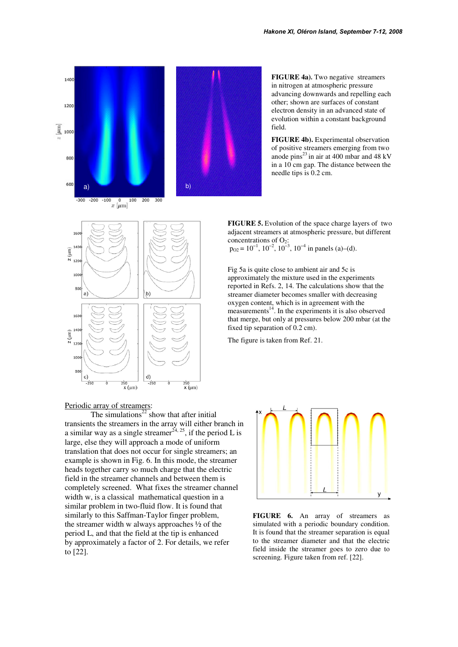



**FIGURE 4a**). Two negative streamers in nitrogen at atmospheric pressure advancing downwards and repelling each other; shown are surfaces of constant electron density in an advanced state of evolution within a constant background field.

**FIGURE 4b).** Experimental observation of positive streamers emerging from two anode pins $^{23}$  in air at 400 mbar and 48 kV in a 10 cm gap. The distance between the needle tips is 0.2 cm.

**FIGURE 5.** Evolution of the space charge layers of two adjacent streamers at atmospheric pressure, but different concentrations of  $O_2$ :  $p_{O2} = 10^{-1}$ ,  $10^{-2}$ ,  $10^{-3}$ ,  $10^{-4}$  in panels (a)–(d).

Fig 5a is quite close to ambient air and 5c is approximately the mixture used in the experiments reported in Refs. 2, 14. The calculations show that the streamer diameter becomes smaller with decreasing oxygen content, which is in agreement with the measurements<sup>14</sup>. In the experiments it is also observed that merge, but only at pressures below 200 mbar (at the fixed tip separation of 0.2 cm).

The figure is taken from Ref. 21.

Periodic array of streamers:

The simulations<sup>22</sup> show that after initial transients the streamers in the array will either branch in a similar way as a single streamer<sup>24, 25</sup>, if the period L is large, else they will approach a mode of uniform translation that does not occur for single streamers; an example is shown in Fig. 6. In this mode, the streamer heads together carry so much charge that the electric field in the streamer channels and between them is completely screened. What fixes the streamer channel width w, is a classical mathematical question in a similar problem in two-fluid flow. It is found that similarly to this Saffman-Taylor finger problem, the streamer width w always approaches ½ of the period L, and that the field at the tip is enhanced by approximately a factor of 2. For details, we refer to [22].



**FIGURE 6.** An array of streamers as simulated with a periodic boundary condition. It is found that the streamer separation is equal to the streamer diameter and that the electric field inside the streamer goes to zero due to screening. Figure taken from ref. [22].